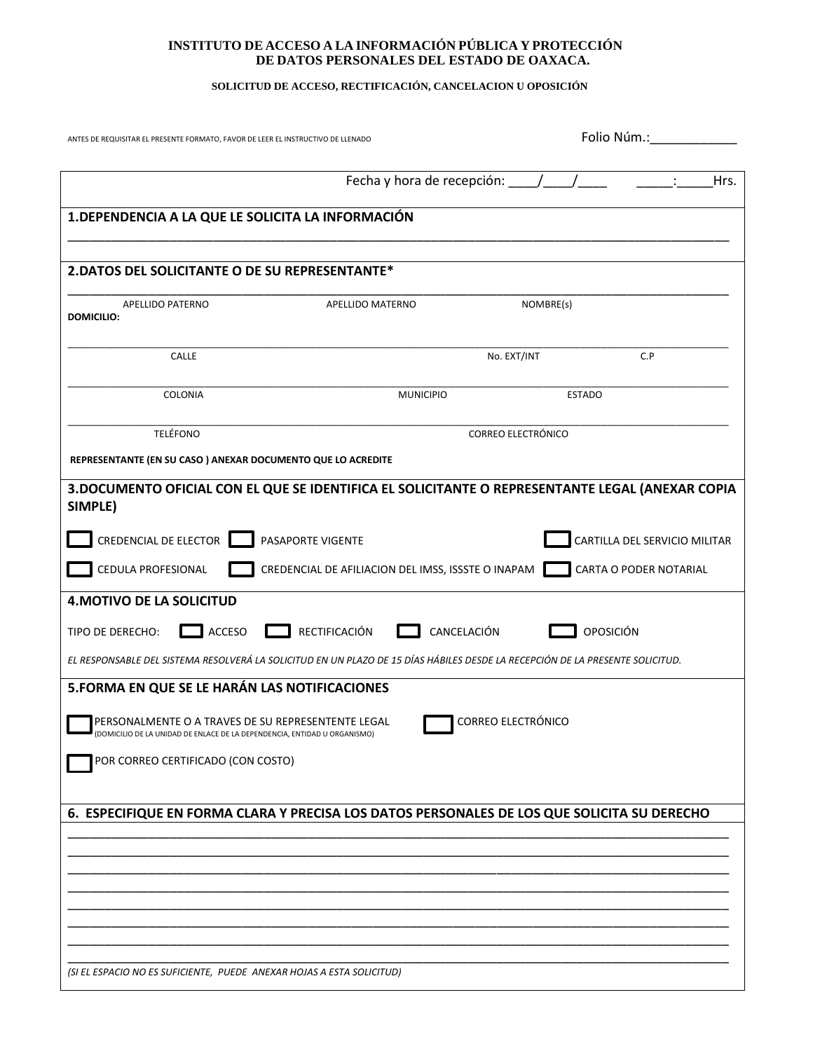### **INSTITUTO DE ACCESO A LA INFORMACIÓN PÚBLICA Y PROTECCIÓN DE DATOS PERSONALES DEL ESTADO DE OAXACA.**

## **SOLICITUD DE ACCESO, RECTIFICACIÓN, CANCELACION U OPOSICIÓN**

| ANTES DE REQUISITAR EL PRESENTE FORMATO, FAVOR DE LEER EL INSTRUCTIVO DE LLENADO                                                                                                                                                              |                                                                         | Folio Núm.:                                     |                                                         |  |
|-----------------------------------------------------------------------------------------------------------------------------------------------------------------------------------------------------------------------------------------------|-------------------------------------------------------------------------|-------------------------------------------------|---------------------------------------------------------|--|
|                                                                                                                                                                                                                                               |                                                                         | Fecha y hora de recepción: $\frac{1}{\sqrt{2}}$ | Hrs.                                                    |  |
| 1. DEPENDENCIA A LA QUE LE SOLICITA LA INFORMACIÓN                                                                                                                                                                                            |                                                                         |                                                 |                                                         |  |
| 2. DATOS DEL SOLICITANTE O DE SU REPRESENTANTE*                                                                                                                                                                                               |                                                                         |                                                 |                                                         |  |
| APELLIDO PATERNO<br><b>DOMICILIO:</b>                                                                                                                                                                                                         | APELLIDO MATERNO                                                        | NOMBRE(s)                                       |                                                         |  |
| CALLE                                                                                                                                                                                                                                         |                                                                         | No. EXT/INT                                     | C.P                                                     |  |
| <b>COLONIA</b>                                                                                                                                                                                                                                | <b>MUNICIPIO</b>                                                        | <b>ESTADO</b>                                   |                                                         |  |
| <b>TELÉFONO</b>                                                                                                                                                                                                                               | <b>CORREO ELECTRÓNICO</b>                                               |                                                 |                                                         |  |
| REPRESENTANTE (EN SU CASO) ANEXAR DOCUMENTO QUE LO ACREDITE                                                                                                                                                                                   |                                                                         |                                                 |                                                         |  |
| SIMPLE)<br>CREDENCIAL DE ELECTOR<br>CEDULA PROFESIONAL                                                                                                                                                                                        | PASAPORTE VIGENTE<br>CREDENCIAL DE AFILIACION DEL IMSS, ISSSTE O INAPAM |                                                 | CARTILLA DEL SERVICIO MILITAR<br>CARTA O PODER NOTARIAL |  |
| <b>4. MOTIVO DE LA SOLICITUD</b><br>RECTIFICACIÓN<br>CANCELACIÓN<br>OPOSICIÓN<br>ACCESO<br>TIPO DE DERECHO:<br>EL RESPONSABLE DEL SISTEMA RESOLVERÁ LA SOLICITUD EN UN PLAZO DE 15 DÍAS HÁBILES DESDE LA RECEPCIÓN DE LA PRESENTE SOLICITUD.  |                                                                         |                                                 |                                                         |  |
| 5. FORMA EN QUE SE LE HARÁN LAS NOTIFICACIONES<br>CORREO ELECTRÓNICO<br>PERSONALMENTE O A TRAVES DE SU REPRESENTENTE LEGAL<br>(DOMICILIO DE LA UNIDAD DE ENLACE DE LA DEPENDENCIA, ENTIDAD U ORGANISMO)<br>POR CORREO CERTIFICADO (CON COSTO) |                                                                         |                                                 |                                                         |  |
| 6. ESPECIFIQUE EN FORMA CLARA Y PRECISA LOS DATOS PERSONALES DE LOS QUE SOLICITA SU DERECHO                                                                                                                                                   |                                                                         |                                                 |                                                         |  |
|                                                                                                                                                                                                                                               |                                                                         |                                                 |                                                         |  |
| (SI EL ESPACIO NO ES SUFICIENTE, PUEDE ANEXAR HOJAS A ESTA SOLICITUD)                                                                                                                                                                         |                                                                         |                                                 |                                                         |  |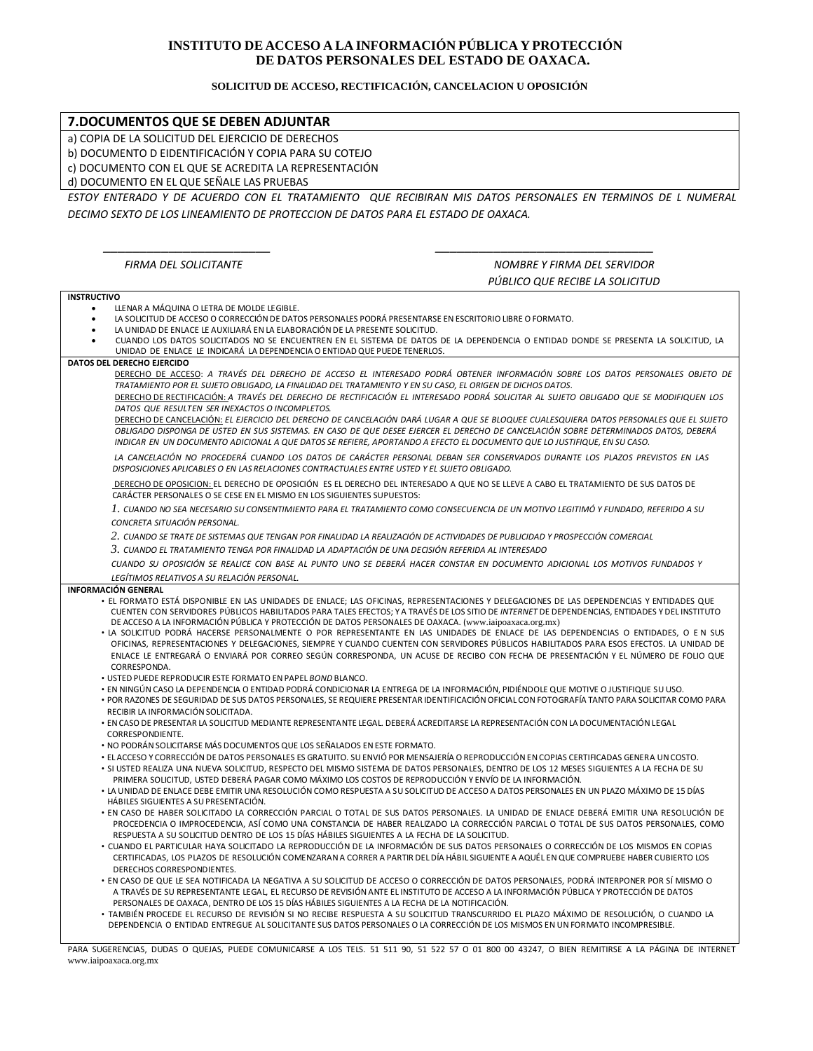# **INSTITUTO DE ACCESO A LA INFORMACIÓN PÚBLICA Y PROTECCIÓN DE DATOS PERSONALES DEL ESTADO DE OAXACA.**

### **SOLICITUD DE ACCESO, RECTIFICACIÓN, CANCELACION U OPOSICIÓN**

| 7.DOCUMENTOS QUE SE DEBEN ADJUNTAR                                                                                                                                                                                                                                              |                                 |  |  |
|---------------------------------------------------------------------------------------------------------------------------------------------------------------------------------------------------------------------------------------------------------------------------------|---------------------------------|--|--|
| a) COPIA DE LA SOLICITUD DEL EJERCICIO DE DERECHOS                                                                                                                                                                                                                              |                                 |  |  |
| b) DOCUMENTO D EIDENTIFICACIÓN Y COPIA PARA SU COTEJO                                                                                                                                                                                                                           |                                 |  |  |
| c) DOCUMENTO CON EL QUE SE ACREDITA LA REPRESENTACIÓN                                                                                                                                                                                                                           |                                 |  |  |
| d) DOCUMENTO EN EL QUE SEÑALE LAS PRUEBAS                                                                                                                                                                                                                                       |                                 |  |  |
| ESTOY ENTERADO Y DE ACUERDO CON EL TRATAMIENTO QUE RECIBIRAN MIS DATOS PERSONALES EN TERMINOS DE L NUMERAL                                                                                                                                                                      |                                 |  |  |
| DECIMO SEXTO DE LOS LINEAMIENTO DE PROTECCION DE DATOS PARA EL ESTADO DE OAXACA.                                                                                                                                                                                                |                                 |  |  |
|                                                                                                                                                                                                                                                                                 |                                 |  |  |
|                                                                                                                                                                                                                                                                                 |                                 |  |  |
|                                                                                                                                                                                                                                                                                 |                                 |  |  |
| <b>FIRMA DEL SOLICITANTE</b>                                                                                                                                                                                                                                                    | NOMBRE Y FIRMA DEL SERVIDOR     |  |  |
|                                                                                                                                                                                                                                                                                 | PÚBLICO QUE RECIBE LA SOLICITUD |  |  |
| <b>INSTRUCTIVO</b>                                                                                                                                                                                                                                                              |                                 |  |  |
| LLENAR A MÁQUINA O LETRA DE MOLDE LEGIBLE.<br>LA SOLICITUD DE ACCESO O CORRECCIÓN DE DATOS PERSONALES PODRÁ PRESENTARSE EN ESCRITORIO LIBRE O FORMATO.                                                                                                                          |                                 |  |  |
| LA UNIDAD DE ENLACE LE AUXILIARÁ EN LA ELABORACIÓN DE LA PRESENTE SOLICITUD.                                                                                                                                                                                                    |                                 |  |  |
| CUANDO LOS DATOS SOLICITADOS NO SE ENCUENTREN EN EL SISTEMA DE DATOS DE LA DEPENDENCIA O ENTIDAD DONDE SE PRESENTA LA SOLICITUD, LA                                                                                                                                             |                                 |  |  |
| UNIDAD DE ENLACE LE INDICARÁ LA DEPENDENCIA O ENTIDAD QUE PUEDE TENERLOS.<br>DATOS DEL DERECHO EJERCIDO                                                                                                                                                                         |                                 |  |  |
| DERECHO DE ACCESO: A TRAVÉS DEL DERECHO DE ACCESO EL INTERESADO PODRÁ OBTENER INFORMACIÓN SOBRE LOS DATOS PERSONALES OBJETO DE                                                                                                                                                  |                                 |  |  |
| TRATAMIENTO POR EL SUJETO OBLIGADO, LA FINALIDAD DEL TRATAMIENTO Y EN SU CASO, EL ORIGEN DE DICHOS DATOS.                                                                                                                                                                       |                                 |  |  |
| DERECHO DE RECTIFICACIÓN: A TRAVÉS DEL DERECHO DE RECTIFICACIÓN EL INTERESADO PODRÁ SOLICITAR AL SUJETO OBLIGADO QUE SE MODIFIQUEN LOS<br>DATOS QUE RESULTEN SER INEXACTOS O INCOMPLETOS.                                                                                       |                                 |  |  |
| DERECHO DE CANCELACIÓN: EL EJERCICIO DEL DERECHO DE CANCELACIÓN DARÁ LUGAR A QUE SE BLOQUEE CUALESQUIERA DATOS PERSONALES QUE EL SUJETO                                                                                                                                         |                                 |  |  |
| OBLIGADO DISPONGA DE USTED EN SUS SISTEMAS. EN CASO DE QUE DESEE EJERCER EL DERECHO DE CANCELACIÓN SOBRE DETERMINADOS DATOS, DEBERÁ                                                                                                                                             |                                 |  |  |
| INDICAR EN UN DOCUMENTO ADICIONAL A QUE DATOS SE REFIERE, APORTANDO A EFECTO EL DOCUMENTO QUE LO JUSTIFIQUE, EN SU CASO.                                                                                                                                                        |                                 |  |  |
| LA CANCELACIÓN NO PROCEDERÁ CUANDO LOS DATOS DE CARÁCTER PERSONAL DEBAN SER CONSERVADOS DURANTE LOS PLAZOS PREVISTOS EN LAS<br>DISPOSICIONES APLICABLES O EN LAS RELACIONES CONTRACTUALES ENTRE USTED Y EL SUJETO OBLIGADO.                                                     |                                 |  |  |
|                                                                                                                                                                                                                                                                                 |                                 |  |  |
| DERECHO DE OPOSICION: EL DERECHO DE OPOSICIÓN ES EL DERECHO DEL INTERESADO A QUE NO SE LLEVE A CABO EL TRATAMIENTO DE SUS DATOS DE<br>CARÁCTER PERSONALES O SE CESE EN EL MISMO EN LOS SIGUIENTES SUPUESTOS:                                                                    |                                 |  |  |
| l . CUANDO NO SEA NECESARIO SU CONSENTIMIENTO PARA EL TRATAMIENTO COMO CONSECUENCIA DE UN MOTIVO LEGITIMÓ Y FUNDADO, REFERIDO A SU                                                                                                                                              |                                 |  |  |
| CONCRETA SITUACIÓN PERSONAL.                                                                                                                                                                                                                                                    |                                 |  |  |
| 2. CUANDO SE TRATE DE SISTEMAS QUE TENGAN POR FINALIDAD LA REALIZACIÓN DE ACTIVIDADES DE PUBLICIDAD Y PROSPECCIÓN COMERCIAL                                                                                                                                                     |                                 |  |  |
| 3. CUANDO EL TRATAMIENTO TENGA POR FINALIDAD LA ADAPTACIÓN DE UNA DECISIÓN REFERIDA AL INTERESADO                                                                                                                                                                               |                                 |  |  |
| CUANDO SU OPOSICIÓN SE REALICE CON BASE AL PUNTO UNO SE DEBERÁ HACER CONSTAR EN DOCUMENTO ADICIONAL LOS MOTIVOS FUNDADOS Y                                                                                                                                                      |                                 |  |  |
| LEGÍTIMOS RELATIVOS A SU RELACIÓN PERSONAL.                                                                                                                                                                                                                                     |                                 |  |  |
| <b>INFORMACIÓN GENERAL</b><br>· EL FORMATO ESTÁ DISPONIBLE EN LAS UNIDADES DE ENLACE; LAS OFICINAS, REPRESENTACIONES Y DELEGACIONES DE LAS DEPENDENCIAS Y ENTIDADES QUE                                                                                                         |                                 |  |  |
| CUENTEN CON SERVIDORES PÚBLICOS HABILITADOS PARA TALES EFECTOS; Y A TRAVÉS DE LOS SITIO DE INTERNET DE DEPENDENCIAS, ENTIDADES Y DEL INSTITUTO                                                                                                                                  |                                 |  |  |
| DE ACCESO A LA INFORMACIÓN PÚBLICA Y PROTECCIÓN DE DATOS PERSONALES DE OAXACA. (www.iaipoaxaca.org.mx)                                                                                                                                                                          |                                 |  |  |
| · LA SOLICITUD PODRÁ HACERSE PERSONALMENTE O POR REPRESENTANTE EN LAS UNIDADES DE ENLACE DE LAS DEPENDENCIAS O ENTIDADES, O EN SUS<br>OFICINAS, REPRESENTACIONES Y DELEGACIONES, SIEMPRE Y CUANDO CUENTEN CON SERVIDORES PÚBLICOS HABILITADOS PARA ESOS EFECTOS. LA UNIDAD DE   |                                 |  |  |
| ENLACE LE ENTREGARÁ O ENVIARÁ POR CORREO SEGÚN CORRESPONDA, UN ACUSE DE RECIBO CON FECHA DE PRESENTACIÓN Y EL NÚMERO DE FOLIO QUE                                                                                                                                               |                                 |  |  |
| CORRESPONDA.                                                                                                                                                                                                                                                                    |                                 |  |  |
| . USTED PUEDE REPRODUCIR ESTE FORMATO EN PAPEL BOND BLANCO.<br>· EN NINGÚN CASO LA DEPENDENCIA O ENTIDAD PODRÁ CONDICIONAR LA ENTREGA DE LA INFORMACIÓN, PIDIÉNDOLE QUE MOTIVE O JUSTIFIQUE SU USO.                                                                             |                                 |  |  |
| · POR RAZONES DE SEGURIDAD DE SUS DATOS PERSONALES, SE REQUIERE PRESENTAR IDENTIFICACIÓN OFICIAL CON FOTOGRAFÍA TANTO PARA SOLICITAR COMO PARA                                                                                                                                  |                                 |  |  |
| RECIBIR LA INFORMACIÓN SOLICITADA.                                                                                                                                                                                                                                              |                                 |  |  |
| · EN CASO DE PRESENTAR LA SOLICITUD MEDIANTE REPRESENTANTE LEGAL. DEBERÁ ACREDITARSE LA REPRESENTACIÓN CON LA DOCUMENTACIÓN LEGAL<br>CORRESPONDIENTE.                                                                                                                           |                                 |  |  |
| • NO PODRÁN SOLICITARSE MÁS DOCUMENTOS QUE LOS SEÑALADOS EN ESTE FORMATO.                                                                                                                                                                                                       |                                 |  |  |
| · ELACCESO Y CORRECCIÓN DE DATOS PERSONALES ES GRATUITO. SU ENVIÓ POR MENSAJERÍA O REPRODUCCIÓN EN COPIAS CERTIFICADAS GENERA UN COSTO.                                                                                                                                         |                                 |  |  |
| · SI USTED REALIZA UNA NUEVA SOLICITUD, RESPECTO DEL MISMO SISTEMA DE DATOS PERSONALES, DENTRO DE LOS 12 MESES SIGUIENTES A LA FECHA DE SU                                                                                                                                      |                                 |  |  |
| PRIMERA SOLICITUD, USTED DEBERÁ PAGAR COMO MÁXIMO LOS COSTOS DE REPRODUCCIÓN Y ENVÍO DE LA INFORMACIÓN.<br>. LA UNIDAD DE ENLACE DEBE EMITIR UNA RESOLUCIÓN COMO RESPUESTA A SU SOLICITUD DE ACCESO A DATOS PERSONALES EN UN PLAZO MÁXIMO DE 15 DÍAS                            |                                 |  |  |
| HÁBILES SIGUIENTES A SU PRESENTACIÓN.                                                                                                                                                                                                                                           |                                 |  |  |
| · EN CASO DE HABER SOLICITADO LA CORRECCIÓN PARCIAL O TOTAL DE SUS DATOS PERSONALES. LA UNIDAD DE ENLACE DEBERÁ EMITIR UNA RESOLUCIÓN DE<br>PROCEDENCIA O IMPROCEDENCIA, ASÍ COMO UNA CONSTANCIA DE HABER REALIZADO LA CORRECCIÓN PARCIAL O TOTAL DE SUS DATOS PERSONALES, COMO |                                 |  |  |
| RESPUESTA A SU SOLICITUD DENTRO DE LOS 15 DÍAS HÁBILES SIGUIENTES A LA FECHA DE LA SOLICITUD.                                                                                                                                                                                   |                                 |  |  |
| · CUANDO EL PARTICULAR HAYA SOLICITADO LA REPRODUCCIÓN DE LA INFORMACIÓN DE SUS DATOS PERSONALES O CORRECCIÓN DE LOS MISMOS EN COPIAS                                                                                                                                           |                                 |  |  |
| CERTIFICADAS, LOS PLAZOS DE RESOLUCIÓN COMENZARAN A CORRER A PARTIR DEL DÍA HÁBIL SIGUIENTE A AQUÉL EN QUE COMPRUEBE HABER CUBIERTO LOS                                                                                                                                         |                                 |  |  |
| DERECHOS CORRESPONDIENTES.<br>· EN CASO DE QUE LE SEA NOTIFICADA LA NEGATIVA A SU SOLICITUD DE ACCESO O CORRECCIÓN DE DATOS PERSONALES, PODRÁ INTERPONER POR SÍ MISMO O                                                                                                         |                                 |  |  |
| A TRAVÉS DE SU REPRESENTANTE LEGAL, EL RECURSO DE REVISIÓN ANTE EL INSTITUTO DE ACCESO A LA INFORMACIÓN PÚBLICA Y PROTECCIÓN DE DATOS                                                                                                                                           |                                 |  |  |
| PERSONALES DE OAXACA, DENTRO DE LOS 15 DÍAS HÁBILES SIGUIENTES A LA FECHA DE LA NOTIFICACIÓN.<br>· TAMBIÉN PROCEDE EL RECURSO DE REVISIÓN SI NO RECIBE RESPUESTA A SU SOLICITUD TRANSCURRIDO EL PLAZO MÁXIMO DE RESOLUCIÓN, O CUANDO LA                                         |                                 |  |  |
| DEPENDENCIA O ENTIDAD ENTREGUE AL SOLICITANTE SUS DATOS PERSONALES O LA CORRECCIÓN DE LOS MISMOS EN UN FORMATO INCOMPRESIBLE.                                                                                                                                                   |                                 |  |  |
|                                                                                                                                                                                                                                                                                 |                                 |  |  |

PARA SUGERENCIAS, DUDAS O QUEJAS, PUEDE COMUNICARSE A LOS TELS. 51 511 90, 51 522 57 O 01 800 00 43247, O BIEN REMITIRSE A LA PÁGINA DE INTERNET www.iaipoaxaca.org.mx